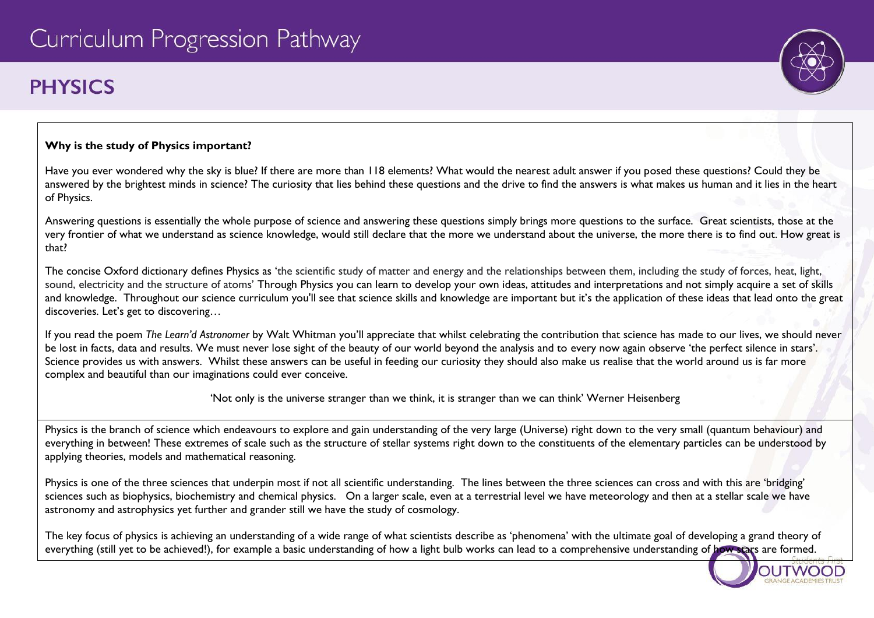# **PHYSICS**

# **Why is the study of Physics important?**

Have you ever wondered why the sky is blue? If there are more than 118 elements? What would the nearest adult answer if you posed these questions? Could they be answered by the brightest minds in science? The curiosity that lies behind these questions and the drive to find the answers is what makes us human and it lies in the heart of Physics.

Answering questions is essentially the whole purpose of science and answering these questions simply brings more questions to the surface. Great scientists, those at the very frontier of what we understand as science knowledge, would still declare that the more we understand about the universe, the more there is to find out. How great is that?

The concise Oxford dictionary defines Physics as 'the scientific study of matter and energy and the relationships between them, including the study of forces, heat, light, sound, electricity and the structure of atoms' Through Physics you can learn to develop your own ideas, attitudes and interpretations and not simply acquire a set of skills and knowledge. Throughout our science curriculum you'll see that science skills and knowledge are important but it's the application of these ideas that lead onto the great discoveries. Let's get to discovering…

If you read the poem *The Learn'd Astronomer* by Walt Whitman you'll appreciate that whilst celebrating the contribution that science has made to our lives, we should never be lost in facts, data and results. We must never lose sight of the beauty of our world beyond the analysis and to every now again observe 'the perfect silence in stars'. Science provides us with answers. Whilst these answers can be useful in feeding our curiosity they should also make us realise that the world around us is far more complex and beautiful than our imaginations could ever conceive.

'Not only is the universe stranger than we think, it is stranger than we can think' Werner Heisenberg

Physics is the branch of science which endeavours to explore and gain understanding of the very large (Universe) right down to the very small (quantum behaviour) and everything in between! These extremes of scale such as the structure of stellar systems right down to the constituents of the elementary particles can be understood by applying theories, models and mathematical reasoning.

Physics is one of the three sciences that underpin most if not all scientific understanding. The lines between the three sciences can cross and with this are 'bridging' sciences such as biophysics, biochemistry and chemical physics. On a larger scale, even at a terrestrial level we have meteorology and then at a stellar scale we have astronomy and astrophysics yet further and grander still we have the study of cosmology.

The key focus of physics is achieving an understanding of a wide range of what scientists describe as 'phenomena' with the ultimate goal of developing a grand theory of everything (still yet to be achieved!), for example a basic understanding of how a light bulb works can lead to a comprehensive understanding of how stars are formed.

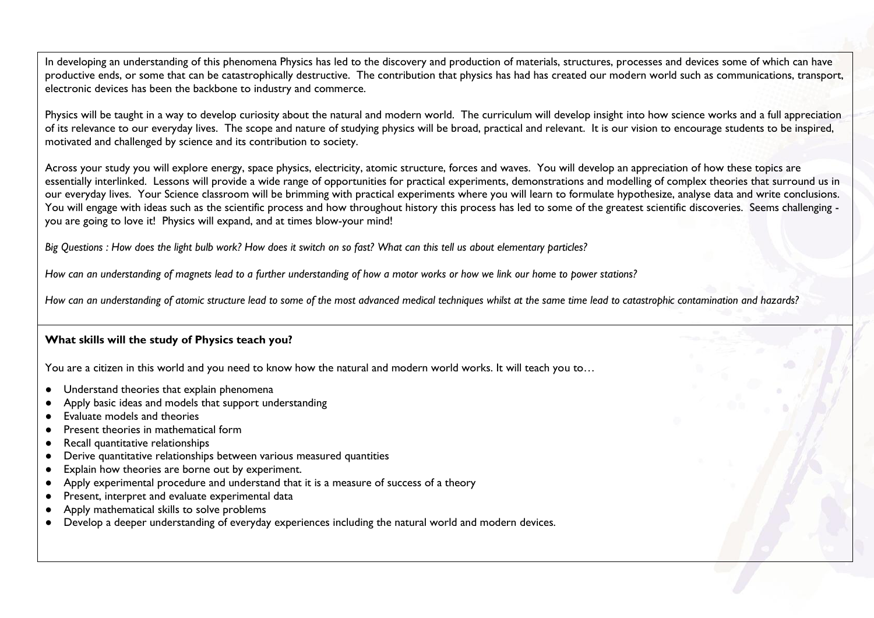In developing an understanding of this phenomena Physics has led to the discovery and production of materials, structures, processes and devices some of which can have productive ends, or some that can be catastrophically destructive. The contribution that physics has had has created our modern world such as communications, transport, electronic devices has been the backbone to industry and commerce.

Physics will be taught in a way to develop curiosity about the natural and modern world. The curriculum will develop insight into how science works and a full appreciation of its relevance to our everyday lives. The scope and nature of studying physics will be broad, practical and relevant. It is our vision to encourage students to be inspired, motivated and challenged by science and its contribution to society.

Across your study you will explore energy, space physics, electricity, atomic structure, forces and waves. You will develop an appreciation of how these topics are essentially interlinked. Lessons will provide a wide range of opportunities for practical experiments, demonstrations and modelling of complex theories that surround us in our everyday lives. Your Science classroom will be brimming with practical experiments where you will learn to formulate hypothesize, analyse data and write conclusions. You will engage with ideas such as the scientific process and how throughout history this process has led to some of the greatest scientific discoveries. Seems challenging you are going to love it! Physics will expand, and at times blow-your mind!

*Big Questions : How does the light bulb work? How does it switch on so fast? What can this tell us about elementary particles?*

*How can an understanding of magnets lead to a further understanding of how a motor works or how we link our home to power stations?*

*How can an understanding of atomic structure lead to some of the most advanced medical techniques whilst at the same time lead to catastrophic contamination and hazards?*

### **What skills will the study of Physics teach you?**

You are a citizen in this world and you need to know how the natural and modern world works. It will teach you to...

- Understand theories that explain phenomena
- Apply basic ideas and models that support understanding
- Evaluate models and theories
- Present theories in mathematical form
- Recall quantitative relationships
- Derive quantitative relationships between various measured quantities
- Explain how theories are borne out by experiment.
- Apply experimental procedure and understand that it is a measure of success of a theory
- Present, interpret and evaluate experimental data
- Apply mathematical skills to solve problems
- Develop a deeper understanding of everyday experiences including the natural world and modern devices.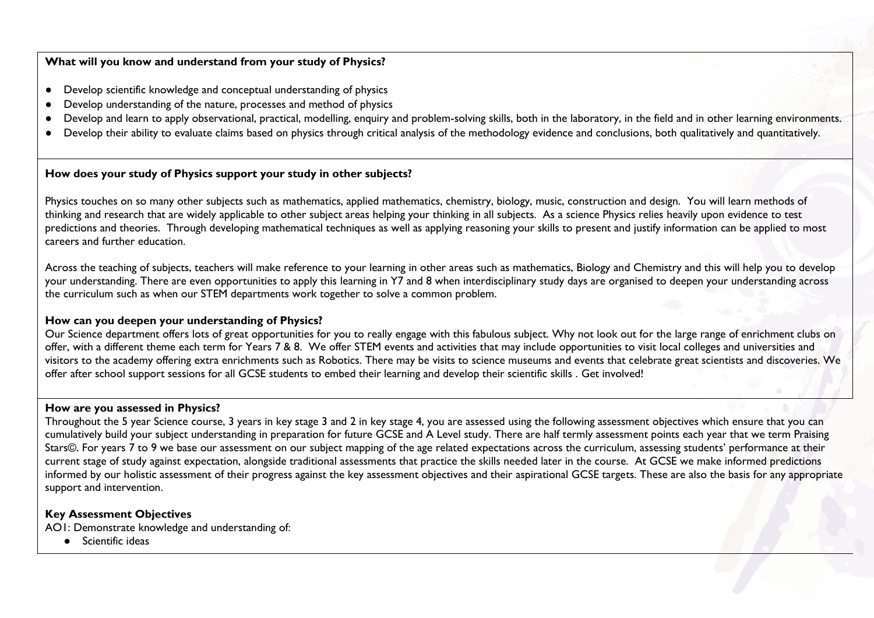#### **What will you know and understand from your study of Physics?**

- Develop scientific knowledge and conceptual understanding of physics
- Develop understanding of the nature, processes and method of physics
- Develop and learn to apply observational, practical, modelling, enquiry and problem-solving skills, both in the laboratory, in the field and in other learning environments.
- Develop their ability to evaluate claims based on physics through critical analysis of the methodology evidence and conclusions, both qualitatively and quantitatively.

### **How does your study of Physics support your study in other subjects?**

Physics touches on so many other subjects such as mathematics, applied mathematics, chemistry, biology, music, construction and design. You will learn methods of thinking and research that are widely applicable to other subject areas helping your thinking in all subjects. As a science Physics relies heavily upon evidence to test predictions and theories. Through developing mathematical techniques as well as applying reasoning your skills to present and justify information can be applied to most careers and further education.

Across the teaching of subjects, teachers will make reference to your learning in other areas such as mathematics, Biology and Chemistry and this will help you to develop your understanding. There are even opportunities to apply this learning in Y7 and 8 when interdisciplinary study days are organised to deepen your understanding across the curriculum such as when our STEM departments work together to solve a common problem.

#### **How can you deepen your understanding of Physics?**

Our Science department offers lots of great opportunities for you to really engage with this fabulous subject. Why not look out for the large range of enrichment clubs on offer, with a different theme each term for Years 7 & 8. We offer STEM events and activities that may include opportunities to visit local colleges and universities and visitors to the academy offering extra enrichments such as Robotics. There may be visits to science museums and events that celebrate great scientists and discoveries. We offer after school support sessions for all GCSE students to embed their learning and develop their scientific skills . Get involved!

#### **How are you assessed in Physics?**

Throughout the 5 year Science course, 3 years in key stage 3 and 2 in key stage 4, you are assessed using the following assessment objectives which ensure that you can cumulatively build your subject understanding in preparation for future GCSE and A Level study. There are half termly assessment points each year that we term Praising Stars©. For years 7 to 9 we base our assessment on our subject mapping of the age related expectations across the curriculum, assessing students' performance at their current stage of study against expectation, alongside traditional assessments that practice the skills needed later in the course. At GCSE we make informed predictions informed by our holistic assessment of their progress against the key assessment objectives and their aspirational GCSE targets. These are also the basis for any appropriate support and intervention.

### **Key Assessment Objectives**

AO1: Demonstrate knowledge and understanding of:

● Scientific ideas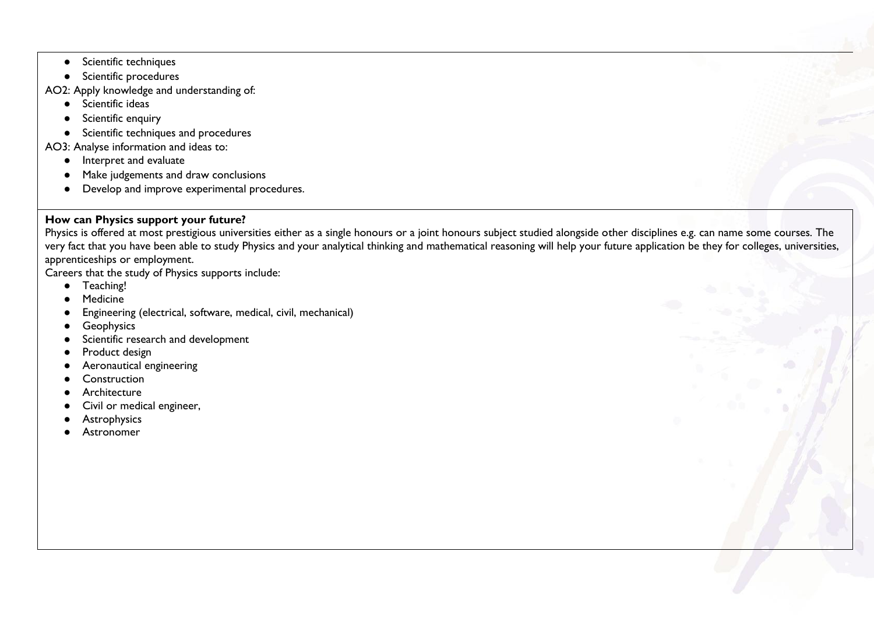- Scientific techniques
- Scientific procedures
- AO2: Apply knowledge and understanding of:
	- Scientific ideas
	- Scientific enquiry
	- Scientific techniques and procedures
- AO3: Analyse information and ideas to:
	- Interpret and evaluate
	- Make judgements and draw conclusions
	- Develop and improve experimental procedures.

## **How can Physics support your future?**

Physics is offered at most prestigious universities either as a single honours or a joint honours subject studied alongside other disciplines e.g. can name some courses. The very fact that you have been able to study Physics and your analytical thinking and mathematical reasoning will help your future application be they for colleges, universities, apprenticeships or employment.

Careers that the study of Physics supports include:

- Teaching!
- Medicine
- Engineering (electrical, software, medical, civil, mechanical)
- **•** Geophysics
- Scientific research and development
- Product design
- Aeronautical engineering
- Construction
- **Architecture**
- Civil or medical engineer,
- Astrophysics
- Astronomer